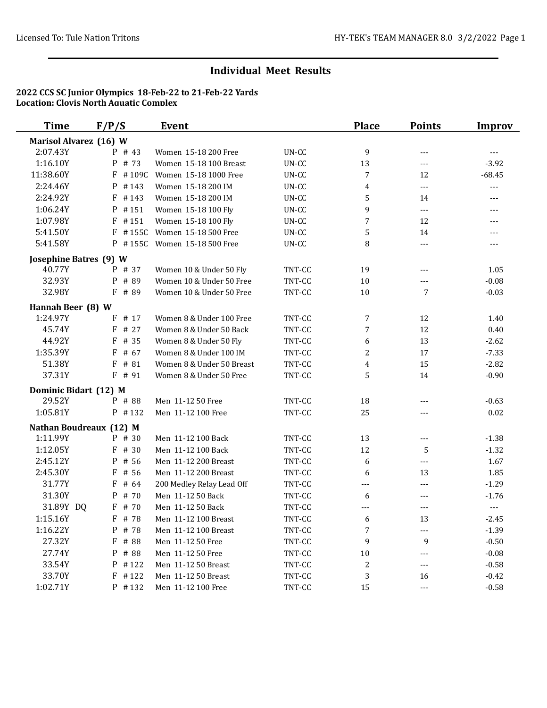| <b>Time</b>            | F/P/S                   | <b>Event</b>              |         | <b>Place</b>     | <b>Points</b>              | Improv         |
|------------------------|-------------------------|---------------------------|---------|------------------|----------------------------|----------------|
| Marisol Alvarez (16) W |                         |                           |         |                  |                            |                |
| 2:07.43Y               | P # 43                  | Women 15-18 200 Free      | UN-CC   | 9                | $---$                      | $\overline{a}$ |
| 1:16.10Y               | # 73<br>P               | Women 15-18 100 Breast    | UN-CC   | 13               | $---$                      | $-3.92$        |
| 11:38.60Y              | #109C<br>F              | Women 15-18 1000 Free     | UN-CC   | 7                | 12                         | $-68.45$       |
| 2:24.46Y               | P<br>#143               | Women 15-18 200 IM        | UN-CC   | 4                | ---                        | $---$          |
| 2:24.92Y               | F<br>#143               | Women 15-18 200 IM        | UN-CC   | 5                | 14                         | ---            |
| 1:06.24Y               | P<br>#151               | Women 15-18 100 Fly       | UN-CC   | 9                | $---$                      | ---            |
| 1:07.98Y               | F<br>#151               | Women 15-18 100 Fly       | $UN-CC$ | $\overline{7}$   | 12                         | $---$          |
| 5:41.50Y               | F<br>#155C              | Women 15-18 500 Free      | UN-CC   | 5                | 14                         | $---$          |
| 5:41.58Y               | $P$ #155C               | Women 15-18 500 Free      | UN-CC   | 8                | $\overline{\phantom{a}}$   | ---            |
| Josephine Batres (9) W |                         |                           |         |                  |                            |                |
| 40.77Y                 | P # 37                  | Women 10 & Under 50 Fly   | TNT-CC  | 19               | ---                        | 1.05           |
| 32.93Y                 | # 89<br>P               | Women 10 & Under 50 Free  | TNT-CC  | $10\,$           | $---$                      | $-0.08$        |
| 32.98Y                 | $F$ # 89                | Women 10 & Under 50 Free  | TNT-CC  | $10\,$           | 7                          | $-0.03$        |
| Hannah Beer (8) W      |                         |                           |         |                  |                            |                |
| 1:24.97Y               | # 17<br>F               | Women 8 & Under 100 Free  | TNT-CC  | 7                | 12                         | 1.40           |
| 45.74Y                 | # 27<br>F               | Women 8 & Under 50 Back   | TNT-CC  | 7                | 12                         | 0.40           |
| 44.92Y                 | # 35<br>F               | Women 8 & Under 50 Fly    | TNT-CC  | 6                | 13                         | $-2.62$        |
| 1:35.39Y               | F<br># 67               | Women 8 & Under 100 IM    | TNT-CC  | 2                | 17                         | $-7.33$        |
| 51.38Y                 | $F$ # 81                | Women 8 & Under 50 Breast | TNT-CC  | 4                | 15                         | $-2.82$        |
| 37.31Y                 | F # 91                  | Women 8 & Under 50 Free   | TNT-CC  | 5                | 14                         | $-0.90$        |
| Dominic Bidart (12) M  |                         |                           |         |                  |                            |                |
| 29.52Y                 | P # 88                  | Men 11-12 50 Free         | TNT-CC  | 18               | ---                        | $-0.63$        |
| 1:05.81Y               | $P$ #132                | Men 11-12 100 Free        | TNT-CC  | 25               | $---$                      | 0.02           |
|                        | Nathan Boudreaux (12) M |                           |         |                  |                            |                |
| 1:11.99Y               | $P$ # 30                | Men 11-12 100 Back        | TNT-CC  | 13               | $\overline{a}$             | $-1.38$        |
| 1:12.05Y               | F # 30                  | Men 11-12 100 Back        | TNT-CC  | 12               | 5                          | $-1.32$        |
| 2:45.12Y               | P # 56                  | Men 11-12 200 Breast      | TNT-CC  | 6                | $\overline{a}$             | 1.67           |
| 2:45.30Y               | # 56<br>F               | Men 11-12 200 Breast      | TNT-CC  | 6                | 13                         | 1.85           |
| 31.77Y                 | # 64<br>F               | 200 Medley Relay Lead Off | TNT-CC  | ---              | ---                        | $-1.29$        |
| 31.30Y                 | # 70<br>P               | Men 11-12 50 Back         | TNT-CC  | 6                | $---$                      | $-1.76$        |
| 31.89Y DQ              | F # 70                  | Men 11-12 50 Back         | TNT-CC  | ---              | ---                        | $---$          |
| 1:15.16Y               | $F$ # 78                | Men 11-12 100 Breast      | TNT-CC  | 6                | 13                         | $-2.45$        |
| 1:16.22Y               | P # 78                  | Men 11-12 100 Breast      | TNT-CC  | 7                | ---                        | $-1.39$        |
| 27.32Y                 | F # 88                  | Men 11-12 50 Free         | TNT-CC  | 9                | 9                          | $-0.50$        |
| 27.74Y                 | P<br># 88               | Men 11-12 50 Free         | TNT-CC  | 10               | ---                        | $-0.08$        |
| 33.54Y                 | P #122                  | Men 11-12 50 Breast       | TNT-CC  | $\boldsymbol{2}$ | $---$                      | $-0.58$        |
| 33.70Y                 | F<br>#122               | Men 11-12 50 Breast       | TNT-CC  | 3                | 16                         | $-0.42$        |
| 1:02.71Y               | P #132                  | Men 11-12 100 Free        | TNT-CC  | 15               | $\qquad \qquad - \qquad -$ | $-0.58$        |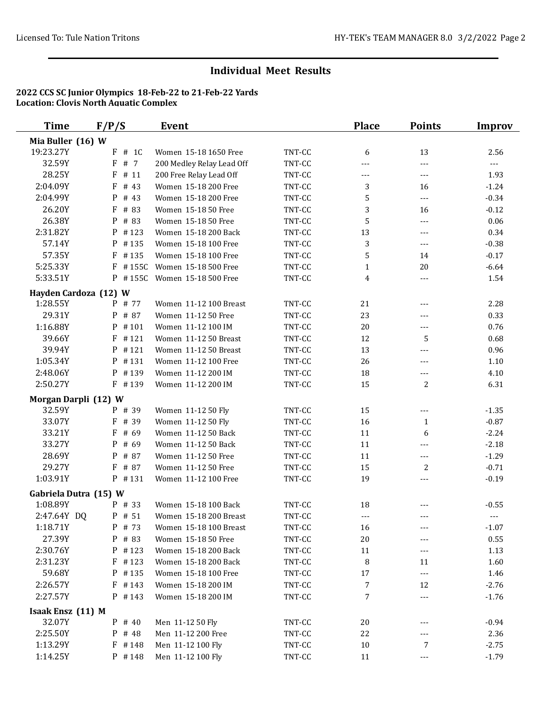| Time                  | F/P/S                | Event                     |        | <b>Place</b>     | <b>Points</b>  | <b>Improv</b>       |
|-----------------------|----------------------|---------------------------|--------|------------------|----------------|---------------------|
| Mia Buller (16) W     |                      |                           |        |                  |                |                     |
| 19:23.27Y             | F<br># 1C            | Women 15-18 1650 Free     | TNT-CC | 6                | 13             | 2.56                |
| 32.59Y                | F<br># 7             | 200 Medley Relay Lead Off | TNT-CC | ---              | ---            | $\qquad \qquad - -$ |
| 28.25Y                | F<br>#11             | 200 Free Relay Lead Off   | TNT-CC | ---              | ---            | 1.93                |
| 2:04.09Y              | F<br># 43            | Women 15-18 200 Free      | TNT-CC | 3                | 16             | $-1.24$             |
| 2:04.99Y              | P<br># 43            | Women 15-18 200 Free      | TNT-CC | 5                | ---            | $-0.34$             |
| 26.20Y                | F<br># 83            | Women 15-18 50 Free       | TNT-CC | 3                | 16             | $-0.12$             |
| 26.38Y                | # 83<br>P            | Women 15-18 50 Free       | TNT-CC | 5                | $---$          | 0.06                |
| 2:31.82Y              | #123<br>P            | Women 15-18 200 Back      | TNT-CC | 13               | $---$          | 0.34                |
| 57.14Y                | P<br>#135            | Women 15-18 100 Free      | TNT-CC | 3                | $---$          | $-0.38$             |
| 57.35Y                | F<br>#135            | Women 15-18 100 Free      | TNT-CC | 5                | 14             | $-0.17$             |
| 5:25.33Y              | #155C<br>F           | Women 15-18 500 Free      | TNT-CC | $\mathbf{1}$     | 20             | $-6.64$             |
| 5:33.51Y              | $P$ #155C            | Women 15-18 500 Free      | TNT-CC | $\overline{4}$   | $\overline{a}$ | 1.54                |
| Hayden Cardoza (12) W |                      |                           |        |                  |                |                     |
| 1:28.55Y              | P # 77               | Women 11-12 100 Breast    | TNT-CC | 21               | ---            | 2.28                |
| 29.31Y                | $\mathbf{P}$<br># 87 | Women 11-12 50 Free       | TNT-CC | 23               | ---            | 0.33                |
| 1:16.88Y              | P<br>#101            | Women 11-12 100 IM        | TNT-CC | 20               | ---            | 0.76                |
| 39.66Y                | F<br>#121            | Women 11-12 50 Breast     | TNT-CC | 12               | 5              | 0.68                |
| 39.94Y                | #121<br>P            | Women 11-12 50 Breast     | TNT-CC | 13               | $---$          | 0.96                |
| 1:05.34Y              | P<br>#131            | Women 11-12 100 Free      | TNT-CC | 26               | $---$          | $1.10\,$            |
| 2:48.06Y              | P<br>#139            | Women 11-12 200 IM        | TNT-CC | 18               | $---$          | 4.10                |
| 2:50.27Y              | $F$ #139             | Women 11-12 200 IM        | TNT-CC | 15               | $\overline{2}$ | 6.31                |
| Morgan Darpli (12) W  |                      |                           |        |                  |                |                     |
| 32.59Y                | P # 39               | Women 11-12 50 Fly        | TNT-CC | 15               | ---            | $-1.35$             |
| 33.07Y                | # 39<br>F            | Women 11-12 50 Fly        | TNT-CC | 16               | $\mathbf{1}$   | $-0.87$             |
| 33.21Y                | F<br># 69            | Women 11-12 50 Back       | TNT-CC | 11               | 6              | $-2.24$             |
| 33.27Y                | P<br># 69            | Women 11-12 50 Back       | TNT-CC | 11               | $---$          | $-2.18$             |
| 28.69Y                | P<br># 87            | Women 11-12 50 Free       | TNT-CC | 11               | ---            | $-1.29$             |
| 29.27Y                | F<br># 87            | Women 11-12 50 Free       | TNT-CC | 15               | 2              | $-0.71$             |
| 1:03.91Y              | $P$ #131             | Women 11-12 100 Free      | TNT-CC | 19               | $---$          | $-0.19$             |
| Gabriela Dutra (15) W |                      |                           |        |                  |                |                     |
| 1:08.89Y              | P # 33               | Women 15-18 100 Back      | TNT-CC | 18               |                | $-0.55$             |
| 2:47.64Y DQ           | P # 51               | Women 15-18 200 Breast    | TNT-CC | ---              | $---$          | $\overline{a}$      |
| 1:18.71Y              | P # 73               | Women 15-18 100 Breast    | TNT-CC | 16               |                | $-1.07$             |
| 27.39Y                | # 83<br>P            | Women 15-18 50 Free       | TNT-CC | 20               |                | 0.55                |
| 2:30.76Y              | $P$ # 123            | Women 15-18 200 Back      | TNT-CC | 11               | $---$          | 1.13                |
| 2:31.23Y              | $F$ #123             | Women 15-18 200 Back      | TNT-CC | 8                | 11             | 1.60                |
| 59.68Y                | P #135               | Women 15-18 100 Free      | TNT-CC | 17               | $---$          | 1.46                |
| 2:26.57Y              | $F$ # 143            | Women 15-18 200 IM        | TNT-CC | $\boldsymbol{7}$ | 12             | $-2.76$             |
| 2:27.57Y              | $P$ # 143            | Women 15-18 200 IM        | TNT-CC | $\boldsymbol{7}$ | ---            | $-1.76$             |
| Isaak Ensz (11) M     |                      |                           |        |                  |                |                     |
| 32.07Y                | $P$ # 40             | Men 11-12 50 Fly          | TNT-CC | $20\,$           |                | $-0.94$             |
| 2:25.50Y              | $P$ # 48             | Men 11-12 200 Free        | TNT-CC | 22               |                | 2.36                |
| 1:13.29Y              | #148<br>F            | Men 11-12 100 Fly         | TNT-CC | $10\,$           | 7              | $-2.75$             |
| 1:14.25Y              | $P$ # 148            | Men 11-12 100 Fly         | TNT-CC | 11               | ---            | $-1.79$             |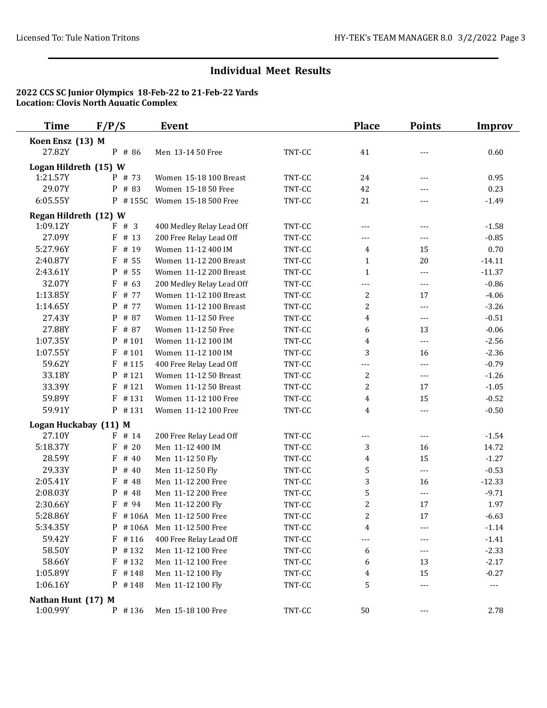| <b>Time</b>                     | F/P/S               | <b>Event</b>              |        | <b>Place</b>     | <b>Points</b>  | <b>Improv</b>        |
|---------------------------------|---------------------|---------------------------|--------|------------------|----------------|----------------------|
| Koen Ensz (13) M                |                     |                           |        |                  |                |                      |
| 27.82Y                          | P # 86              | Men 13-14 50 Free         | TNT-CC | 41               | $---$          | 0.60                 |
| Logan Hildreth (15) W           |                     |                           |        |                  |                |                      |
| 1:21.57Y                        | P # 73              | Women 15-18 100 Breast    | TNT-CC | 24               | $---$          | 0.95                 |
| 29.07Y                          | # 83<br>P           | Women 15-18 50 Free       | TNT-CC | 42               | $---$          | 0.23                 |
| 6:05.55Y                        | $P$ #155C           | Women 15-18 500 Free      | TNT-CC | 21               | $---$          | $-1.49$              |
| Regan Hildreth (12) W           |                     |                           |        |                  |                |                      |
| 1:09.12Y                        | F # 3               | 400 Medley Relay Lead Off | TNT-CC | $---$            | $---$          | $-1.58$              |
| 27.09Y                          | $\mathbf F$<br># 13 | 200 Free Relay Lead Off   | TNT-CC | $---$            | $---$          | $-0.85$              |
| 5:27.96Y                        | F<br># 19           | Women 11-12 400 IM        | TNT-CC | 4                | 15             | 0.70                 |
| 2:40.87Y                        | F<br># 55           | Women 11-12 200 Breast    | TNT-CC | $\mathbf{1}$     | 20             | $-14.11$             |
| 2:43.61Y                        | P<br># 55           | Women 11-12 200 Breast    | TNT-CC | $\mathbf{1}$     | ---            | $-11.37$             |
| 32.07Y                          | F<br># 63           | 200 Medley Relay Lead Off | TNT-CC | ---              | $---$          | $-0.86$              |
| 1:13.85Y                        | F<br># 77           | Women 11-12 100 Breast    | TNT-CC | 2                | 17             | $-4.06$              |
| 1:14.65Y                        | # 77<br>P           | Women 11-12 100 Breast    | TNT-CC | $\overline{c}$   | $---$          | $-3.26$              |
| 27.43Y                          | P<br># 87           | Women 11-12 50 Free       | TNT-CC | 4                | $\overline{a}$ | $-0.51$              |
| 27.88Y                          | F<br># 87           | Women 11-12 50 Free       | TNT-CC | 6                | 13             | $-0.06$              |
| 1:07.35Y                        | P<br>#101           | Women 11-12 100 IM        | TNT-CC | 4                | $\overline{a}$ | $-2.56$              |
| 1:07.55Y                        | F<br>#101           | Women 11-12 100 IM        | TNT-CC | 3                | 16             | $-2.36$              |
| 59.62Y                          | F<br>#115           | 400 Free Relay Lead Off   | TNT-CC | $---$            | ---            | $-0.79$              |
| 33.18Y                          | #121<br>P           | Women 11-12 50 Breast     | TNT-CC | 2                | ---            | $-1.26$              |
| 33.39Y                          | F<br>#121           | Women 11-12 50 Breast     | TNT-CC | $\overline{c}$   | 17             | $-1.05$              |
| 59.89Y                          | F<br>#131           | Women 11-12 100 Free      | TNT-CC | 4                | 15             | $-0.52$              |
| 59.91Y                          | P #131              | Women 11-12 100 Free      | TNT-CC | 4                | $---$          | $-0.50$              |
|                                 |                     |                           |        |                  |                |                      |
| Logan Huckabay (11) M<br>27.10Y | F<br># 14           | 200 Free Relay Lead Off   | TNT-CC | $---$            | $\overline{a}$ | $-1.54$              |
| 5:18.37Y                        | #20<br>F            | Men 11-12 400 IM          | TNT-CC | 3                | 16             | 14.72                |
| 28.59Y                          | F<br># 40           | Men 11-12 50 Fly          | TNT-CC | 4                | 15             | $-1.27$              |
| 29.33Y                          | P<br># 40           | Men 11-12 50 Fly          | TNT-CC | 5                | $---$          | $-0.53$              |
| 2:05.41Y                        | F<br># 48           | Men 11-12 200 Free        | TNT-CC | 3                | 16             | $-12.33$             |
| 2:08.03Y                        | P<br># 48           | Men 11-12 200 Free        | TNT-CC | 5                | $---$          | $-9.71$              |
| 2:30.66Y                        | F<br># 94           | Men 11-12 200 Fly         | TNT-CC | $\boldsymbol{2}$ | 17             | 1.97                 |
| 5:28.86Y                        | F<br>#106A          | Men 11-12 500 Free        | TNT-CC | $\overline{c}$   | 17             | $-6.63$              |
|                                 | $P$ #106A           | Men 11-12 500 Free        |        |                  |                |                      |
| 5:34.35Y                        |                     |                           | TNT-CC | 4                |                | $-1.14$              |
| 59.42Y                          | $F$ #116            | 400 Free Relay Lead Off   | TNT-CC | ---              |                | $-1.41$              |
| 58.50Y                          | P #132              | Men 11-12 100 Free        | TNT-CC | 6                | $---$          | $-2.33$              |
| 58.66Y                          | $F$ #132            | Men 11-12 100 Free        | TNT-CC | 6                | 13             | $-2.17$              |
| 1:05.89Y                        | $F$ #148            | Men 11-12 100 Fly         | TNT-CC | 4                | 15             | $-0.27$              |
| 1:06.16Y                        | P #148              | Men 11-12 100 Fly         | TNT-CC | 5                | ---            | $\scriptstyle\cdots$ |
| Nathan Hunt (17) M              |                     |                           |        |                  |                |                      |
| 1:00.99Y                        | P #136              | Men 15-18 100 Free        | TNT-CC | $50\,$           | $---$          | 2.78                 |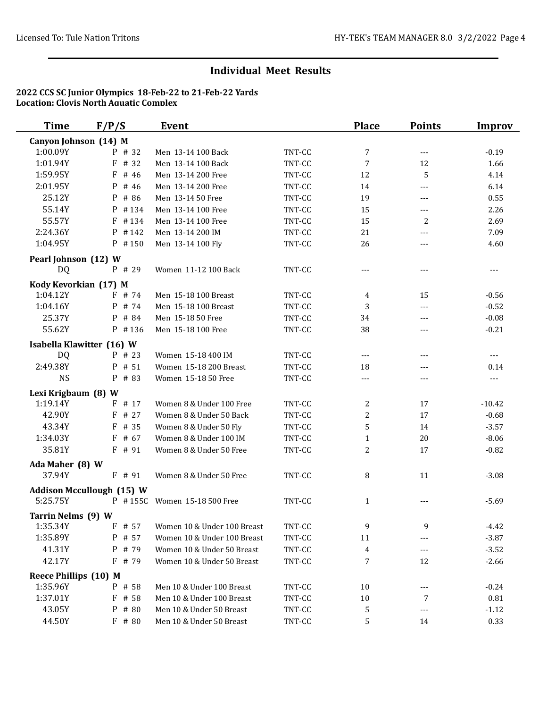| <b>Time</b>                       | F/P/S                            | <b>Event</b>                 |        | <b>Place</b>   | <b>Points</b> | <b>Improv</b>  |
|-----------------------------------|----------------------------------|------------------------------|--------|----------------|---------------|----------------|
| Canyon Johnson (14) M             |                                  |                              |        |                |               |                |
| 1:00.09Y                          | P # 32                           | Men 13-14 100 Back           | TNT-CC | 7              | $---$         | $-0.19$        |
| 1:01.94Y                          | F<br># 32                        | Men 13-14 100 Back           | TNT-CC | 7              | 12            | 1.66           |
| 1:59.95Y                          | F<br># 46                        | Men 13-14 200 Free           | TNT-CC | 12             | 5             | 4.14           |
| 2:01.95Y                          | P<br># 46                        | Men 13-14 200 Free           | TNT-CC | 14             | ---           | 6.14           |
| 25.12Y                            | # 86<br>P                        | Men 13-14 50 Free            | TNT-CC | 19             | $---$         | 0.55           |
| 55.14Y                            | P<br>#134                        | Men 13-14 100 Free           | TNT-CC | 15             | $---$         | 2.26           |
| 55.57Y                            | $\mathbf{F}$<br>#134             | Men 13-14 100 Free           | TNT-CC | 15             | 2             | 2.69           |
| 2:24.36Y                          | #142<br>P                        | Men 13-14 200 IM             | TNT-CC | 21             | ---           | 7.09           |
| 1:04.95Y                          | $P$ #150                         | Men 13-14 100 Fly            | TNT-CC | 26             | ---           | 4.60           |
| Pearl Johnson (12) W              |                                  |                              |        |                |               |                |
| DQ                                | P # 29                           | Women 11-12 100 Back         | TNT-CC | ---            | ---           | ---            |
|                                   |                                  |                              |        |                |               |                |
| Kody Kevorkian (17) M<br>1:04.12Y | $F$ # 74                         | Men 15-18 100 Breast         | TNT-CC | 4              | 15            | $-0.56$        |
| 1:04.16Y                          | $P$ # 74                         | Men 15-18 100 Breast         | TNT-CC | 3              | ---           | $-0.52$        |
| 25.37Y                            | # 84<br>P                        | Men 15-18 50 Free            | TNT-CC | 34             | ---           | $-0.08$        |
| 55.62Y                            | $P$ #136                         | Men 15-18 100 Free           | TNT-CC | 38             | $---$         | $-0.21$        |
|                                   |                                  |                              |        |                |               |                |
|                                   | Isabella Klawitter (16) W        |                              |        |                |               |                |
| DQ                                | $P$ # 23                         | Women 15-18 400 IM           | TNT-CC | $---$          | ---           | $\overline{a}$ |
| 2:49.38Y                          | # 51<br>P                        | Women 15-18 200 Breast       | TNT-CC | 18             | ---           | 0.14           |
| <b>NS</b>                         | P<br># 83                        | Women 15-18 50 Free          | TNT-CC | ---            | ---           | $---$          |
| Lexi Krigbaum (8) W               |                                  |                              |        |                |               |                |
| 1:19.14Y                          | F # 17                           | Women 8 & Under 100 Free     | TNT-CC | 2              | 17            | $-10.42$       |
| 42.90Y                            | # 27<br>F                        | Women 8 & Under 50 Back      | TNT-CC | 2              | 17            | $-0.68$        |
| 43.34Y                            | # 35<br>F                        | Women 8 & Under 50 Fly       | TNT-CC | 5              | 14            | $-3.57$        |
| 1:34.03Y                          | $\mathbf{F}$<br># 67             | Women 8 & Under 100 IM       | TNT-CC | $\mathbf{1}$   | 20            | $-8.06$        |
| 35.81Y                            | $F$ # 91                         | Women 8 & Under 50 Free      | TNT-CC | 2              | 17            | $-0.82$        |
| Ada Maher (8) W                   |                                  |                              |        |                |               |                |
| 37.94Y                            | $F$ # 91                         | Women 8 & Under 50 Free      | TNT-CC | 8              | 11            | $-3.08$        |
|                                   | <b>Addison Mccullough (15) W</b> |                              |        |                |               |                |
| 5:25.75Y                          |                                  | P #155C Women 15-18 500 Free | TNT-CC | $\mathbf{1}$   | $---$         | $-5.69$        |
| Tarrin Nelms (9) W                |                                  |                              |        |                |               |                |
| 1:35.34Y                          | F # 57                           | Women 10 & Under 100 Breast  | TNT-CC | 9              | 9             | $-4.42$        |
| 1:35.89Y                          | # 57<br>P                        | Women 10 & Under 100 Breast  | TNT-CC | 11             |               | $-3.87$        |
| 41.31Y                            | P # 79                           | Women 10 & Under 50 Breast   | TNT-CC | $\overline{4}$ | $---$         | $-3.52$        |
| 42.17Y                            | $F$ # 79                         | Women 10 & Under 50 Breast   | TNT-CC | 7              | 12            | $-2.66$        |
|                                   |                                  |                              |        |                |               |                |
| Reece Phillips (10) M             |                                  |                              |        |                |               |                |
| 1:35.96Y                          | P # 58                           | Men 10 & Under 100 Breast    | TNT-CC | 10             | ---           | $-0.24$        |
| 1:37.01Y                          | # 58<br>F                        | Men 10 & Under 100 Breast    | TNT-CC | $10\,$         | 7             | 0.81           |
| 43.05Y                            | # 80<br>P                        | Men 10 & Under 50 Breast     | TNT-CC | 5              | ---           | $-1.12$        |
| 44.50Y                            | $F$ # 80                         | Men 10 & Under 50 Breast     | TNT-CC | 5              | 14            | 0.33           |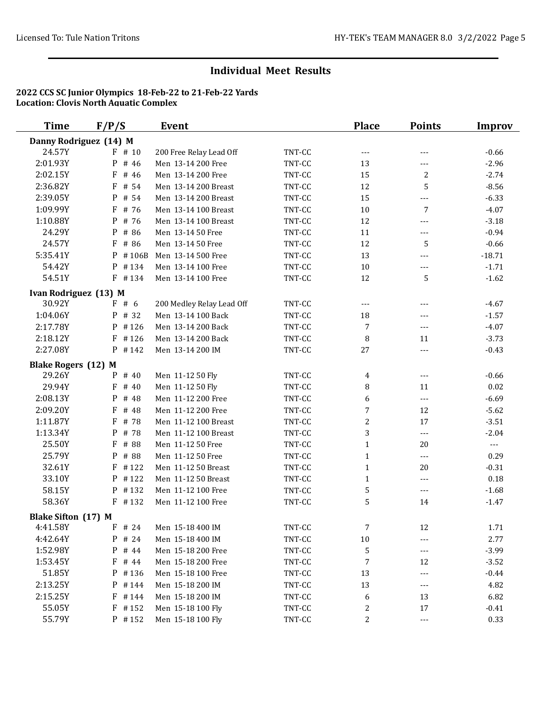| <b>Time</b>                | F/P/S      | <b>Event</b>              |        | <b>Place</b>     | <b>Points</b>  | <b>Improv</b> |
|----------------------------|------------|---------------------------|--------|------------------|----------------|---------------|
| Danny Rodriguez (14) M     |            |                           |        |                  |                |               |
| 24.57Y                     | $F$ # 10   | 200 Free Relay Lead Off   | TNT-CC | $---$            | $---$          | $-0.66$       |
| 2:01.93Y                   | P<br># 46  | Men 13-14 200 Free        | TNT-CC | 13               | ---            | $-2.96$       |
| 2:02.15Y                   | F<br># 46  | Men 13-14 200 Free        | TNT-CC | 15               | 2              | $-2.74$       |
| 2:36.82Y                   | F<br># 54  | Men 13-14 200 Breast      | TNT-CC | 12               | 5              | $-8.56$       |
| 2:39.05Y                   | P<br># 54  | Men 13-14 200 Breast      | TNT-CC | 15               | ---            | $-6.33$       |
| 1:09.99Y                   | F<br># 76  | Men 13-14 100 Breast      | TNT-CC | 10               | 7              | $-4.07$       |
| 1:10.88Y                   | P<br># 76  | Men 13-14 100 Breast      | TNT-CC | 12               | ---            | $-3.18$       |
| 24.29Y                     | P<br># 86  | Men 13-14 50 Free         | TNT-CC | 11               | $---$          | $-0.94$       |
| 24.57Y                     | F<br># 86  | Men 13-14 50 Free         | TNT-CC | 12               | 5              | $-0.66$       |
| 5:35.41Y                   | #106B<br>P | Men 13-14 500 Free        | TNT-CC | 13               | $---$          | $-18.71$      |
| 54.42Y                     | P #134     | Men 13-14 100 Free        | TNT-CC | 10               | ---            | $-1.71$       |
| 54.51Y                     | $F$ #134   | Men 13-14 100 Free        | TNT-CC | 12               | 5              | $-1.62$       |
| Ivan Rodriguez (13) M      |            |                           |        |                  |                |               |
| 30.92Y                     | F#6        | 200 Medley Relay Lead Off | TNT-CC | ---              | $---$          | $-4.67$       |
| 1:04.06Y                   | P # 32     | Men 13-14 100 Back        | TNT-CC | 18               | $---$          | $-1.57$       |
| 2:17.78Y                   | $P$ #126   | Men 13-14 200 Back        | TNT-CC | 7                | ---            | $-4.07$       |
| 2:18.12Y                   | F<br>#126  | Men 13-14 200 Back        | TNT-CC | 8                | 11             | $-3.73$       |
| 2:27.08Y                   | $P$ # 142  | Men 13-14 200 IM          | TNT-CC | 27               | ---            | $-0.43$       |
| <b>Blake Rogers (12) M</b> |            |                           |        |                  |                |               |
| 29.26Y                     | P # 40     | Men 11-12 50 Fly          | TNT-CC | 4                | ---            | $-0.66$       |
| 29.94Y                     | F<br># 40  | Men 11-12 50 Fly          | TNT-CC | 8                | 11             | $0.02\,$      |
| 2:08.13Y                   | P<br># 48  | Men 11-12 200 Free        | TNT-CC | 6                | ---            | $-6.69$       |
| 2:09.20Y                   | F<br># 48  | Men 11-12 200 Free        | TNT-CC | 7                | 12             | $-5.62$       |
| 1:11.87Y                   | F<br># 78  | Men 11-12 100 Breast      | TNT-CC | $\boldsymbol{2}$ | 17             | $-3.51$       |
| 1:13.34Y                   | P<br># 78  | Men 11-12 100 Breast      | TNT-CC | 3                | $\overline{a}$ | $-2.04$       |
| 25.50Y                     | # 88<br>F  | Men 11-12 50 Free         | TNT-CC | $\mathbf{1}$     | 20             | $\sim$ $\sim$ |
| 25.79Y                     | P<br># 88  | Men 11-12 50 Free         | TNT-CC | $\mathbf{1}$     | $---$          | 0.29          |
| 32.61Y                     | F<br>#122  | Men 11-12 50 Breast       | TNT-CC | $\mathbf{1}$     | 20             | $-0.31$       |
| 33.10Y                     | #122<br>P  | Men 11-12 50 Breast       | TNT-CC | $\mathbf{1}$     | $---$          | 0.18          |
| 58.15Y                     | #132<br>P  | Men 11-12 100 Free        | TNT-CC | 5                | ---            | $-1.68$       |
| 58.36Y                     | $F$ #132   | Men 11-12 100 Free        | TNT-CC | 5                | 14             | $-1.47$       |
| Blake Sifton (17) M        |            |                           |        |                  |                |               |
| 4:41.58Y                   | F<br># 24  | Men 15-18 400 IM          | TNT-CC | 7                | 12             | 1.71          |
| 4:42.64Y                   | # 24<br>P  | Men 15-18 400 IM          | TNT-CC | $10\,$           | ---            | 2.77          |
| 1:52.98Y                   | P<br># 44  | Men 15-18 200 Free        | TNT-CC | 5                | ---            | $-3.99$       |
| 1:53.45Y                   | F<br># 44  | Men 15-18 200 Free        | TNT-CC | 7                | 12             | $-3.52$       |
| 51.85Y                     | $P$ #136   | Men 15-18 100 Free        | TNT-CC | 13               | ---            | $-0.44$       |
| 2:13.25Y                   | $P$ # 144  | Men 15-18 200 IM          | TNT-CC | 13               | ---            | 4.82          |
| 2:15.25Y                   | $F$ # 144  | Men 15-18 200 IM          | TNT-CC | 6                | 13             | 6.82          |
| 55.05Y                     | $F$ #152   | Men 15-18 100 Fly         | TNT-CC | 2                | 17             | $-0.41$       |
| 55.79Y                     | P #152     | Men 15-18 100 Fly         | TNT-CC | 2                | ---            | 0.33          |